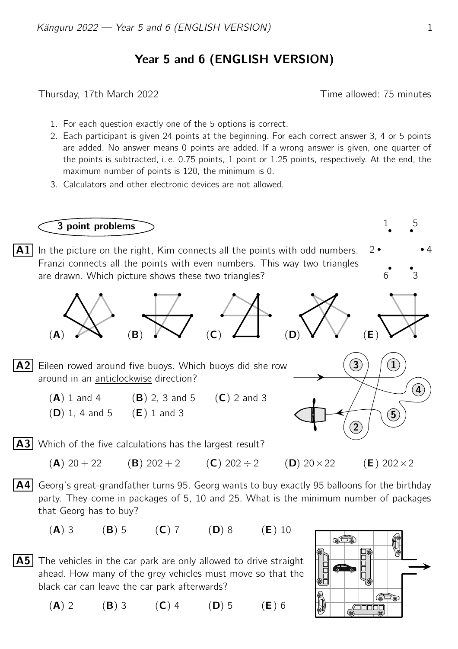## Year 5 and 6 (ENGLISH VERSION)

Thursday, 17th March 2022 **Thursday**, 17th March 2022

- 1. For each question exactly one of the 5 options is correct.
- 2. Each participant is given 24 points at the beginning. For each correct answer 3, 4 or 5 points are added. No answer means 0 points are added. If a wrong answer is given, one quarter of the points is subtracted, i. e. 0.75 points, 1 point or 1.25 points, respectively. At the end, the maximum number of points is 120, the minimum is 0.
- 3. Calculators and other electronic devices are not allowed.



- $\vert$  A5 The vehicles in the car park are only allowed to drive straight ahead. How many of the grey vehicles must move so that the black car can leave the car park afterwards?
	- $(A) 2$  (B) 3 (C) 4 (D) 5 (E) 6

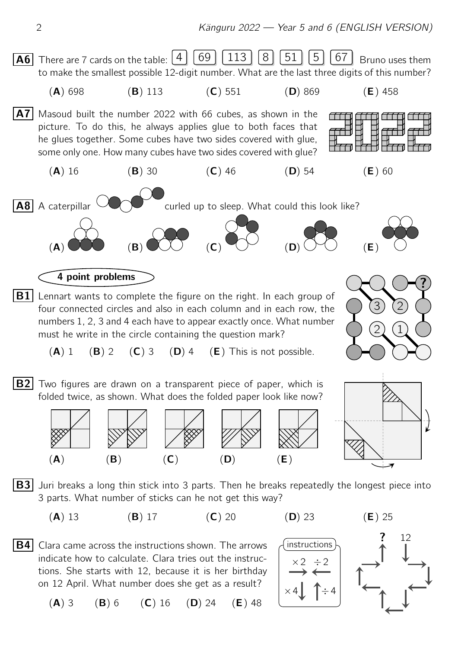

indicate how to calculate. Clara tries out the instructions. She starts with 12, because it is her birthday on 12 April. What number does she get as a result?

 $(A)$  3 (B) 6 (C) 16 (D) 24 (E) 48

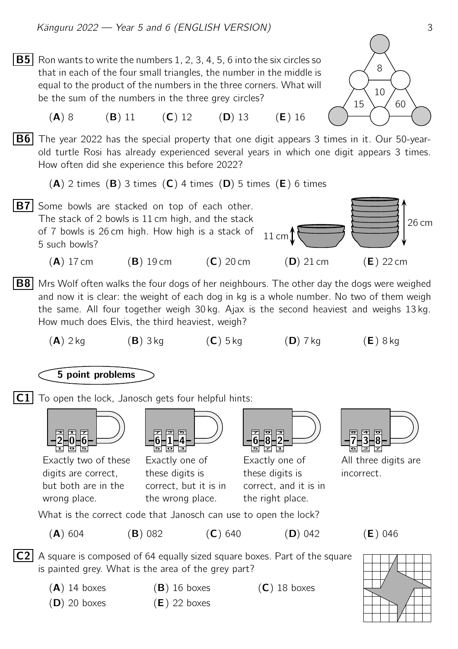**B5** Ron wants to write the numbers 1, 2, 3, 4, 5, 6 into the six circles so that in each of the four small triangles, the number in the middle is equal to the product of the numbers in the three corners. What will be the sum of the numbers in the three grey circles?



 $(A) 8$  (B) 11 (C) 12 (D) 13 (E) 16

**B6** The year 2022 has the special property that one digit appears 3 times in it. Our 50-yearold turtle Rosi has already experienced several years in which one digit appears 3 times. How often did she experience this before 2022?

 $(A)$  2 times  $(B)$  3 times  $(C)$  4 times  $(D)$  5 times  $(E)$  6 times



- **B8** Mrs Wolf often walks the four dogs of her neighbours. The other day the dogs were weighed and now it is clear: the weight of each dog in kg is a whole number. No two of them weigh the same. All four together weigh 30 kg. Ajax is the second heaviest and weighs 13 kg. How much does Elvis, the third heaviest, weigh?
	- $(A)$  2 kg  $(B)$  3 kg  $(C)$  5 kg  $(D)$  7 kg  $(E)$  8 kg

## 5 point problems

 $|C1|$  To open the lock, Janosch gets four helpful hints:



Exactly two of these digits are correct, but both are in the wrong place.



Exactly one of these digits is correct, but it is in the wrong place.



Exactly one of these digits is correct, and it is in the right place.



All three digits are incorrect.

What is the correct code that Janosch can use to open the lock?

(A) 604 (B) 082 (C) 640 (D) 042 (E) 046

- $|C2|$  A square is composed of 64 equally sized square boxes. Part of the square is painted grey. What is the area of the grey part?
	-
	- $(D)$  20 boxes  $(E)$  22 boxes

 $(A)$  14 boxes  $(B)$  16 boxes  $(C)$  18 boxes